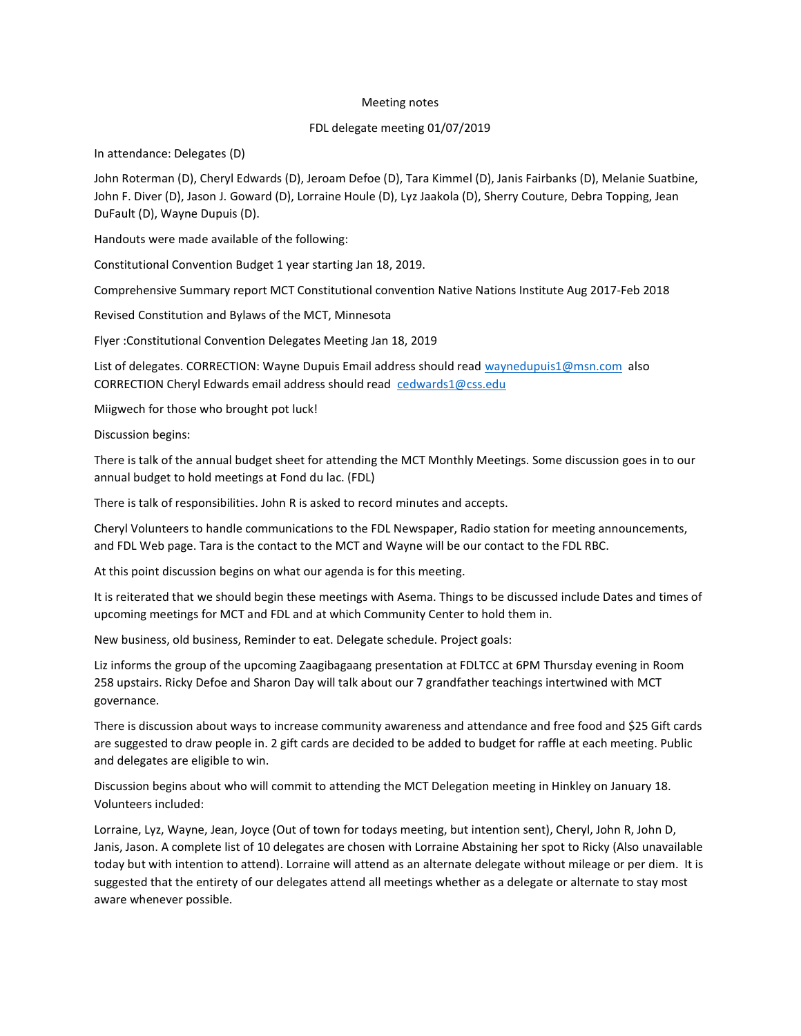## Meeting notes

## FDL delegate meeting 01/07/2019

In attendance: Delegates (D)

John Roterman (D), Cheryl Edwards (D), Jeroam Defoe (D), Tara Kimmel (D), Janis Fairbanks (D), Melanie Suatbine, John F. Diver (D), Jason J. Goward (D), Lorraine Houle (D), Lyz Jaakola (D), Sherry Couture, Debra Topping, Jean DuFault (D), Wayne Dupuis (D).

Handouts were made available of the following:

Constitutional Convention Budget 1 year starting Jan 18, 2019.

Comprehensive Summary report MCT Constitutional convention Native Nations Institute Aug 2017-Feb 2018

Revised Constitution and Bylaws of the MCT, Minnesota

Flyer :Constitutional Convention Delegates Meeting Jan 18, 2019

List of delegates. CORRECTION: Wayne Dupuis Email address should read waynedupuis1@msn.com also CORRECTION Cheryl Edwards email address should read cedwards1@css.edu

Miigwech for those who brought pot luck!

Discussion begins:

There is talk of the annual budget sheet for attending the MCT Monthly Meetings. Some discussion goes in to our annual budget to hold meetings at Fond du lac. (FDL)

There is talk of responsibilities. John R is asked to record minutes and accepts.

Cheryl Volunteers to handle communications to the FDL Newspaper, Radio station for meeting announcements, and FDL Web page. Tara is the contact to the MCT and Wayne will be our contact to the FDL RBC.

At this point discussion begins on what our agenda is for this meeting.

It is reiterated that we should begin these meetings with Asema. Things to be discussed include Dates and times of upcoming meetings for MCT and FDL and at which Community Center to hold them in.

New business, old business, Reminder to eat. Delegate schedule. Project goals:

Liz informs the group of the upcoming Zaagibagaang presentation at FDLTCC at 6PM Thursday evening in Room 258 upstairs. Ricky Defoe and Sharon Day will talk about our 7 grandfather teachings intertwined with MCT governance.

There is discussion about ways to increase community awareness and attendance and free food and \$25 Gift cards are suggested to draw people in. 2 gift cards are decided to be added to budget for raffle at each meeting. Public and delegates are eligible to win.

Discussion begins about who will commit to attending the MCT Delegation meeting in Hinkley on January 18. Volunteers included:

Lorraine, Lyz, Wayne, Jean, Joyce (Out of town for todays meeting, but intention sent), Cheryl, John R, John D, Janis, Jason. A complete list of 10 delegates are chosen with Lorraine Abstaining her spot to Ricky (Also unavailable today but with intention to attend). Lorraine will attend as an alternate delegate without mileage or per diem. It is suggested that the entirety of our delegates attend all meetings whether as a delegate or alternate to stay most aware whenever possible.